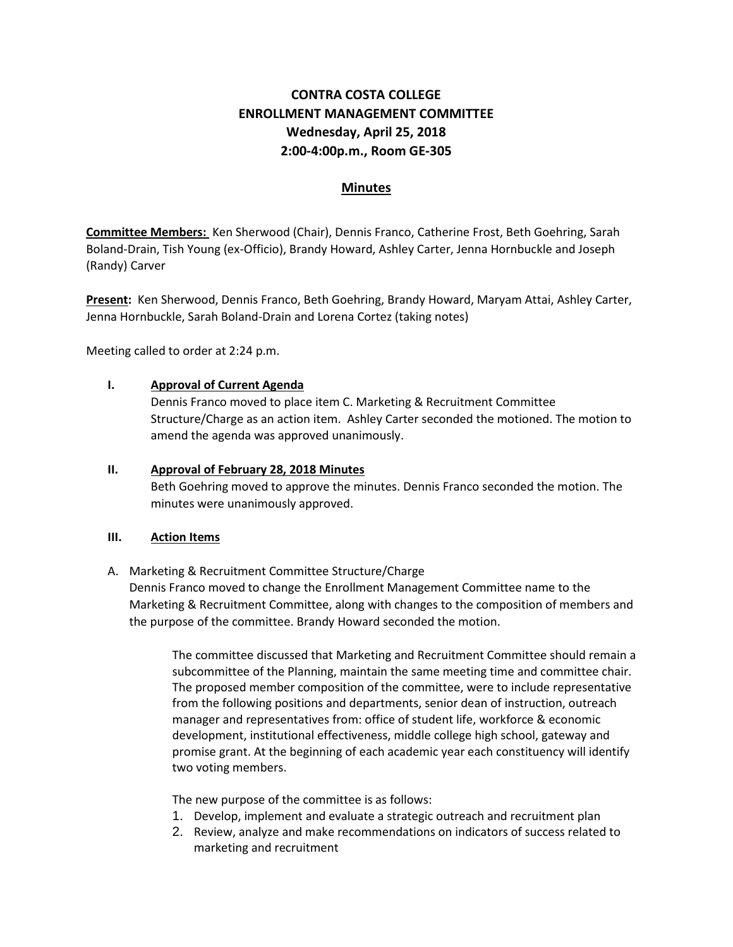# **CONTRA COSTA COLLEGE ENROLLMENT MANAGEMENT COMMITTEE Wednesday, April 25, 2018 2:00-4:00p.m., Room GE-305**

# **Minutes**

**Committee Members:** Ken Sherwood (Chair), Dennis Franco, Catherine Frost, Beth Goehring, Sarah Boland-Drain, Tish Young (ex-Officio), Brandy Howard, Ashley Carter, Jenna Hornbuckle and Joseph (Randy) Carver

**Present:** Ken Sherwood, Dennis Franco, Beth Goehring, Brandy Howard, Maryam Attai, Ashley Carter, Jenna Hornbuckle, Sarah Boland-Drain and Lorena Cortez (taking notes)

Meeting called to order at 2:24 p.m.

## **I. Approval of Current Agenda**

Dennis Franco moved to place item C. Marketing & Recruitment Committee Structure/Charge as an action item. Ashley Carter seconded the motioned. The motion to amend the agenda was approved unanimously.

#### **II. Approval of February 28, 2018 Minutes**

Beth Goehring moved to approve the minutes. Dennis Franco seconded the motion. The minutes were unanimously approved.

#### **III. Action Items**

## A. Marketing & Recruitment Committee Structure/Charge

Dennis Franco moved to change the Enrollment Management Committee name to the Marketing & Recruitment Committee, along with changes to the composition of members and the purpose of the committee. Brandy Howard seconded the motion.

The committee discussed that Marketing and Recruitment Committee should remain a subcommittee of the Planning, maintain the same meeting time and committee chair. The proposed member composition of the committee, were to include representative from the following positions and departments, senior dean of instruction, outreach manager and representatives from: office of student life, workforce & economic development, institutional effectiveness, middle college high school, gateway and promise grant. At the beginning of each academic year each constituency will identify two voting members.

The new purpose of the committee is as follows:

- 1. Develop, implement and evaluate a strategic outreach and recruitment plan
- 2. Review, analyze and make recommendations on indicators of success related to marketing and recruitment